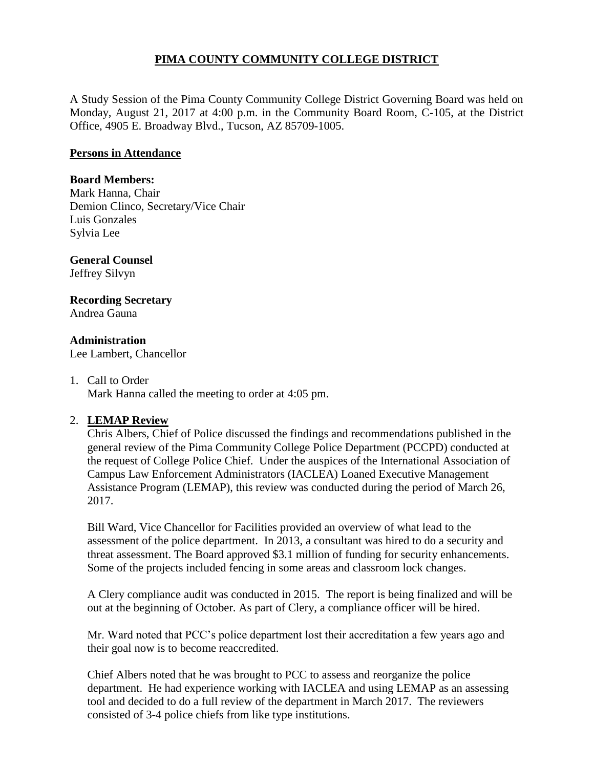# **PIMA COUNTY COMMUNITY COLLEGE DISTRICT**

A Study Session of the Pima County Community College District Governing Board was held on Monday, August 21, 2017 at 4:00 p.m. in the Community Board Room, C-105, at the District Office, 4905 E. Broadway Blvd., Tucson, AZ 85709-1005.

## **Persons in Attendance**

### **Board Members:**

Mark Hanna, Chair Demion Clinco, Secretary/Vice Chair Luis Gonzales Sylvia Lee

#### **General Counsel**  Jeffrey Silvyn

#### **Recording Secretary** Andrea Gauna

**Administration**

Lee Lambert, Chancellor

1. Call to Order

Mark Hanna called the meeting to order at 4:05 pm.

## 2. **LEMAP Review**

Chris Albers, Chief of Police discussed the findings and recommendations published in the general review of the Pima Community College Police Department (PCCPD) conducted at the request of College Police Chief. Under the auspices of the International Association of Campus Law Enforcement Administrators (IACLEA) Loaned Executive Management Assistance Program (LEMAP), this review was conducted during the period of March 26, 2017.

Bill Ward, Vice Chancellor for Facilities provided an overview of what lead to the assessment of the police department. In 2013, a consultant was hired to do a security and threat assessment. The Board approved \$3.1 million of funding for security enhancements. Some of the projects included fencing in some areas and classroom lock changes.

A Clery compliance audit was conducted in 2015. The report is being finalized and will be out at the beginning of October. As part of Clery, a compliance officer will be hired.

Mr. Ward noted that PCC's police department lost their accreditation a few years ago and their goal now is to become reaccredited.

Chief Albers noted that he was brought to PCC to assess and reorganize the police department. He had experience working with IACLEA and using LEMAP as an assessing tool and decided to do a full review of the department in March 2017. The reviewers consisted of 3-4 police chiefs from like type institutions.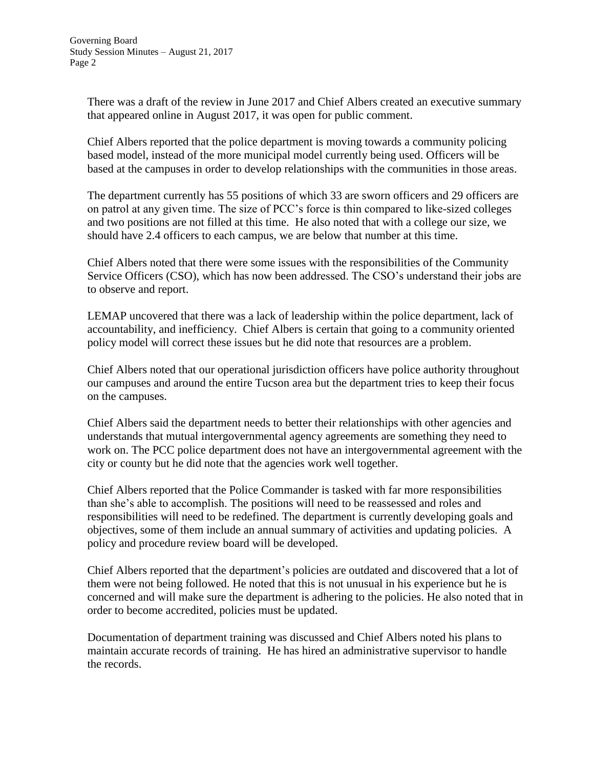There was a draft of the review in June 2017 and Chief Albers created an executive summary that appeared online in August 2017, it was open for public comment.

Chief Albers reported that the police department is moving towards a community policing based model, instead of the more municipal model currently being used. Officers will be based at the campuses in order to develop relationships with the communities in those areas.

The department currently has 55 positions of which 33 are sworn officers and 29 officers are on patrol at any given time. The size of PCC's force is thin compared to like-sized colleges and two positions are not filled at this time. He also noted that with a college our size, we should have 2.4 officers to each campus, we are below that number at this time.

Chief Albers noted that there were some issues with the responsibilities of the Community Service Officers (CSO), which has now been addressed. The CSO's understand their jobs are to observe and report.

LEMAP uncovered that there was a lack of leadership within the police department, lack of accountability, and inefficiency. Chief Albers is certain that going to a community oriented policy model will correct these issues but he did note that resources are a problem.

Chief Albers noted that our operational jurisdiction officers have police authority throughout our campuses and around the entire Tucson area but the department tries to keep their focus on the campuses.

Chief Albers said the department needs to better their relationships with other agencies and understands that mutual intergovernmental agency agreements are something they need to work on. The PCC police department does not have an intergovernmental agreement with the city or county but he did note that the agencies work well together.

Chief Albers reported that the Police Commander is tasked with far more responsibilities than she's able to accomplish. The positions will need to be reassessed and roles and responsibilities will need to be redefined. The department is currently developing goals and objectives, some of them include an annual summary of activities and updating policies. A policy and procedure review board will be developed.

Chief Albers reported that the department's policies are outdated and discovered that a lot of them were not being followed. He noted that this is not unusual in his experience but he is concerned and will make sure the department is adhering to the policies. He also noted that in order to become accredited, policies must be updated.

Documentation of department training was discussed and Chief Albers noted his plans to maintain accurate records of training. He has hired an administrative supervisor to handle the records.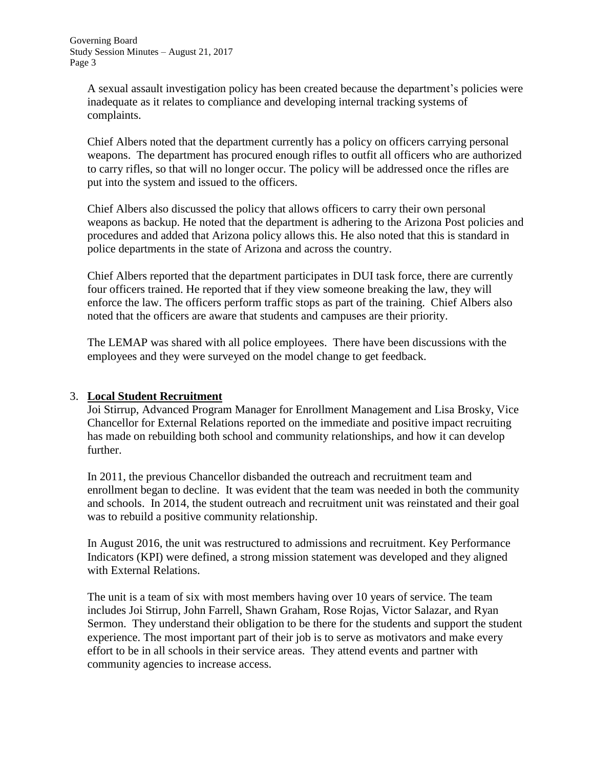A sexual assault investigation policy has been created because the department's policies were inadequate as it relates to compliance and developing internal tracking systems of complaints.

Chief Albers noted that the department currently has a policy on officers carrying personal weapons. The department has procured enough rifles to outfit all officers who are authorized to carry rifles, so that will no longer occur. The policy will be addressed once the rifles are put into the system and issued to the officers.

Chief Albers also discussed the policy that allows officers to carry their own personal weapons as backup. He noted that the department is adhering to the Arizona Post policies and procedures and added that Arizona policy allows this. He also noted that this is standard in police departments in the state of Arizona and across the country.

Chief Albers reported that the department participates in DUI task force, there are currently four officers trained. He reported that if they view someone breaking the law, they will enforce the law. The officers perform traffic stops as part of the training. Chief Albers also noted that the officers are aware that students and campuses are their priority.

The LEMAP was shared with all police employees. There have been discussions with the employees and they were surveyed on the model change to get feedback.

## 3. **Local Student Recruitment**

Joi Stirrup, Advanced Program Manager for Enrollment Management and Lisa Brosky, Vice Chancellor for External Relations reported on the immediate and positive impact recruiting has made on rebuilding both school and community relationships, and how it can develop further.

In 2011, the previous Chancellor disbanded the outreach and recruitment team and enrollment began to decline. It was evident that the team was needed in both the community and schools. In 2014, the student outreach and recruitment unit was reinstated and their goal was to rebuild a positive community relationship.

In August 2016, the unit was restructured to admissions and recruitment. Key Performance Indicators (KPI) were defined, a strong mission statement was developed and they aligned with External Relations.

The unit is a team of six with most members having over 10 years of service. The team includes Joi Stirrup, John Farrell, Shawn Graham, Rose Rojas, Victor Salazar, and Ryan Sermon. They understand their obligation to be there for the students and support the student experience. The most important part of their job is to serve as motivators and make every effort to be in all schools in their service areas. They attend events and partner with community agencies to increase access.